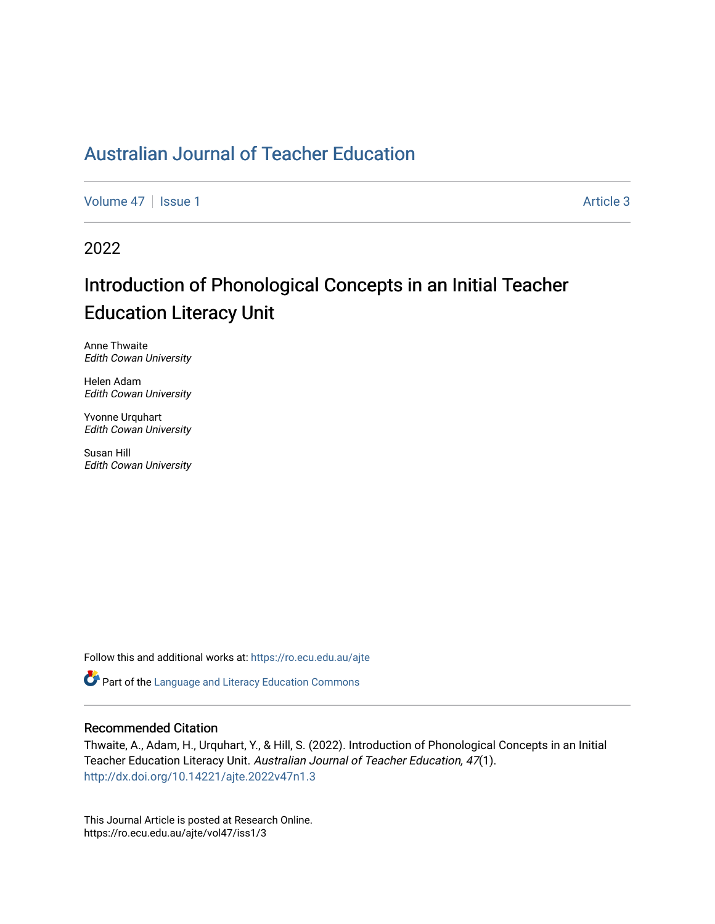[Volume 47](https://ro.ecu.edu.au/ajte/vol47) | [Issue 1](https://ro.ecu.edu.au/ajte/vol47/iss1) Article 3

2022

# Introduction of Phonological Concepts in an Initial Teacher Education Literacy Unit

Anne Thwaite Edith Cowan University

Helen Adam Edith Cowan University

Yvonne Urquhart Edith Cowan University

Susan Hill Edith Cowan University

Follow this and additional works at: [https://ro.ecu.edu.au/ajte](https://ro.ecu.edu.au/ajte?utm_source=ro.ecu.edu.au%2Fajte%2Fvol47%2Fiss1%2F3&utm_medium=PDF&utm_campaign=PDFCoverPages) 

Part of the [Language and Literacy Education Commons](http://network.bepress.com/hgg/discipline/1380?utm_source=ro.ecu.edu.au%2Fajte%2Fvol47%2Fiss1%2F3&utm_medium=PDF&utm_campaign=PDFCoverPages)

#### Recommended Citation

Thwaite, A., Adam, H., Urquhart, Y., & Hill, S. (2022). Introduction of Phonological Concepts in an Initial Teacher Education Literacy Unit. Australian Journal of Teacher Education, 47(1). <http://dx.doi.org/10.14221/ajte.2022v47n1.3>

This Journal Article is posted at Research Online. https://ro.ecu.edu.au/ajte/vol47/iss1/3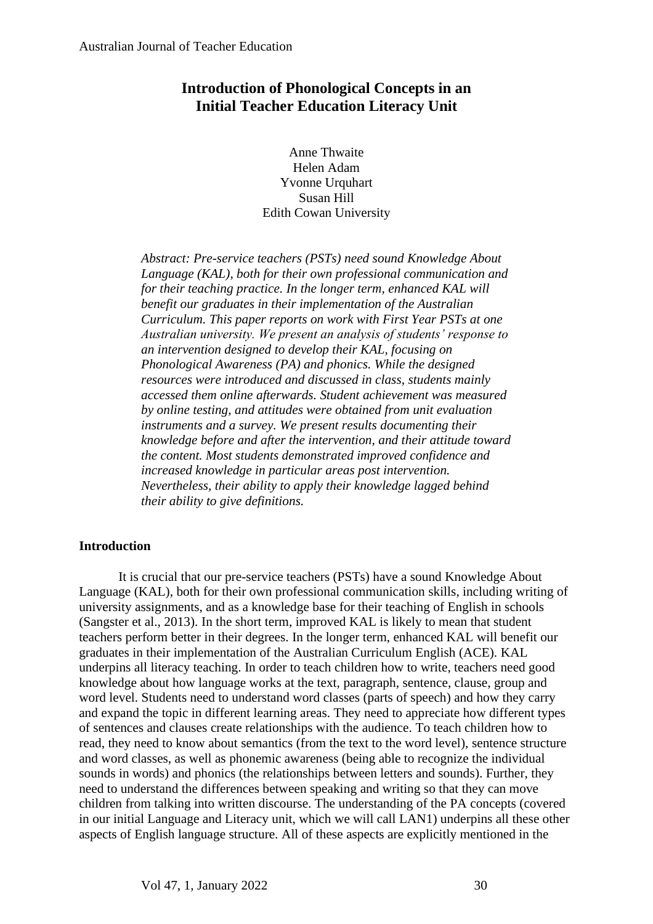# **Introduction of Phonological Concepts in an Initial Teacher Education Literacy Unit**

Anne Thwaite Helen Adam Yvonne Urquhart Susan Hill Edith Cowan University

*Abstract: Pre-service teachers (PSTs) need sound Knowledge About Language (KAL), both for their own professional communication and for their teaching practice. In the longer term, enhanced KAL will benefit our graduates in their implementation of the Australian Curriculum. This paper reports on work with First Year PSTs at one Australian university. We present an analysis of students' response to an intervention designed to develop their KAL, focusing on Phonological Awareness (PA) and phonics. While the designed resources were introduced and discussed in class, students mainly accessed them online afterwards. Student achievement was measured by online testing, and attitudes were obtained from unit evaluation instruments and a survey. We present results documenting their knowledge before and after the intervention, and their attitude toward the content. Most students demonstrated improved confidence and increased knowledge in particular areas post intervention. Nevertheless, their ability to apply their knowledge lagged behind their ability to give definitions.*

## **Introduction**

It is crucial that our pre-service teachers (PSTs) have a sound Knowledge About Language (KAL), both for their own professional communication skills, including writing of university assignments, and as a knowledge base for their teaching of English in schools (Sangster et al., 2013). In the short term, improved KAL is likely to mean that student teachers perform better in their degrees. In the longer term, enhanced KAL will benefit our graduates in their implementation of the Australian Curriculum English (ACE). KAL underpins all literacy teaching. In order to teach children how to write, teachers need good knowledge about how language works at the text, paragraph, sentence, clause, group and word level. Students need to understand word classes (parts of speech) and how they carry and expand the topic in different learning areas. They need to appreciate how different types of sentences and clauses create relationships with the audience. To teach children how to read, they need to know about semantics (from the text to the word level), sentence structure and word classes, as well as phonemic awareness (being able to recognize the individual sounds in words) and phonics (the relationships between letters and sounds). Further, they need to understand the differences between speaking and writing so that they can move children from talking into written discourse. The understanding of the PA concepts (covered in our initial Language and Literacy unit, which we will call LAN1) underpins all these other aspects of English language structure. All of these aspects are explicitly mentioned in the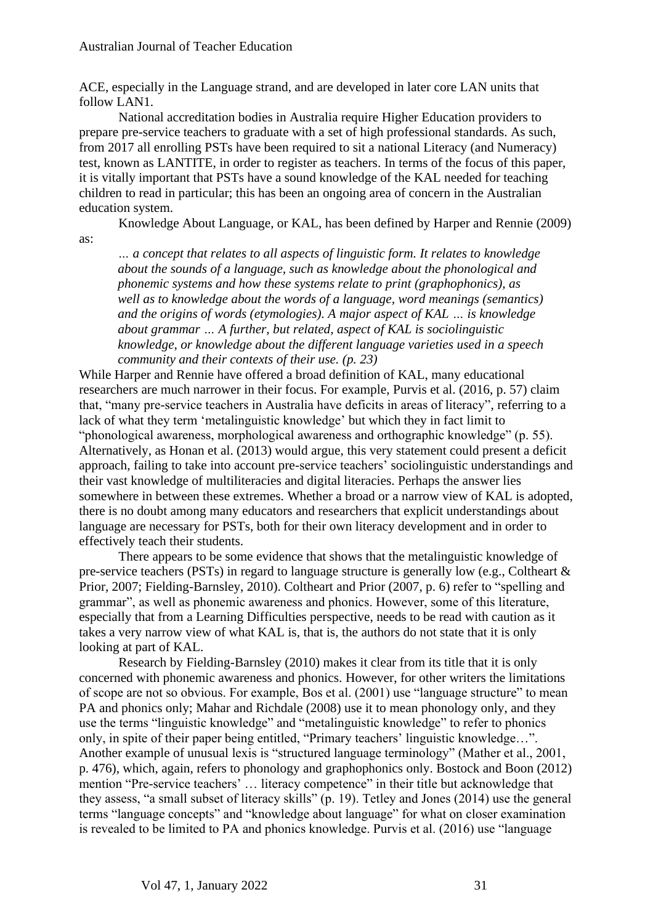ACE, especially in the Language strand, and are developed in later core LAN units that follow LAN1.

National accreditation bodies in Australia require Higher Education providers to prepare pre-service teachers to graduate with a set of high professional standards. As such, from 2017 all enrolling PSTs have been required to sit a national Literacy (and Numeracy) test, known as LANTITE, in order to register as teachers. In terms of the focus of this paper, it is vitally important that PSTs have a sound knowledge of the KAL needed for teaching children to read in particular; this has been an ongoing area of concern in the Australian education system.

Knowledge About Language, or KAL, has been defined by Harper and Rennie (2009) as:

*… a concept that relates to all aspects of linguistic form. It relates to knowledge about the sounds of a language, such as knowledge about the phonological and phonemic systems and how these systems relate to print (graphophonics), as well as to knowledge about the words of a language, word meanings (semantics) and the origins of words (etymologies). A major aspect of KAL … is knowledge about grammar … A further, but related, aspect of KAL is sociolinguistic knowledge, or knowledge about the different language varieties used in a speech community and their contexts of their use. (p. 23)*

While Harper and Rennie have offered a broad definition of KAL, many educational researchers are much narrower in their focus. For example, Purvis et al. (2016, p. 57) claim that, "many pre-service teachers in Australia have deficits in areas of literacy", referring to a lack of what they term 'metalinguistic knowledge' but which they in fact limit to "phonological awareness, morphological awareness and orthographic knowledge" (p. 55). Alternatively, as Honan et al. (2013) would argue, this very statement could present a deficit approach, failing to take into account pre-service teachers' sociolinguistic understandings and their vast knowledge of multiliteracies and digital literacies. Perhaps the answer lies somewhere in between these extremes. Whether a broad or a narrow view of KAL is adopted, there is no doubt among many educators and researchers that explicit understandings about language are necessary for PSTs, both for their own literacy development and in order to effectively teach their students.

There appears to be some evidence that shows that the metalinguistic knowledge of pre-service teachers (PSTs) in regard to language structure is generally low (e.g., Coltheart & Prior, 2007; Fielding-Barnsley, 2010). Coltheart and Prior (2007, p. 6) refer to "spelling and grammar", as well as phonemic awareness and phonics. However, some of this literature, especially that from a Learning Difficulties perspective, needs to be read with caution as it takes a very narrow view of what KAL is, that is, the authors do not state that it is only looking at part of KAL.

Research by Fielding-Barnsley (2010) makes it clear from its title that it is only concerned with phonemic awareness and phonics. However, for other writers the limitations of scope are not so obvious. For example, Bos et al. (2001) use "language structure" to mean PA and phonics only; Mahar and Richdale (2008) use it to mean phonology only, and they use the terms "linguistic knowledge" and "metalinguistic knowledge" to refer to phonics only, in spite of their paper being entitled, "Primary teachers' linguistic knowledge…". Another example of unusual lexis is "structured language terminology" (Mather et al., 2001, p. 476), which, again, refers to phonology and graphophonics only. Bostock and Boon (2012) mention "Pre-service teachers' … literacy competence" in their title but acknowledge that they assess, "a small subset of literacy skills" (p. 19). Tetley and Jones (2014) use the general terms "language concepts" and "knowledge about language" for what on closer examination is revealed to be limited to PA and phonics knowledge. Purvis et al. (2016) use "language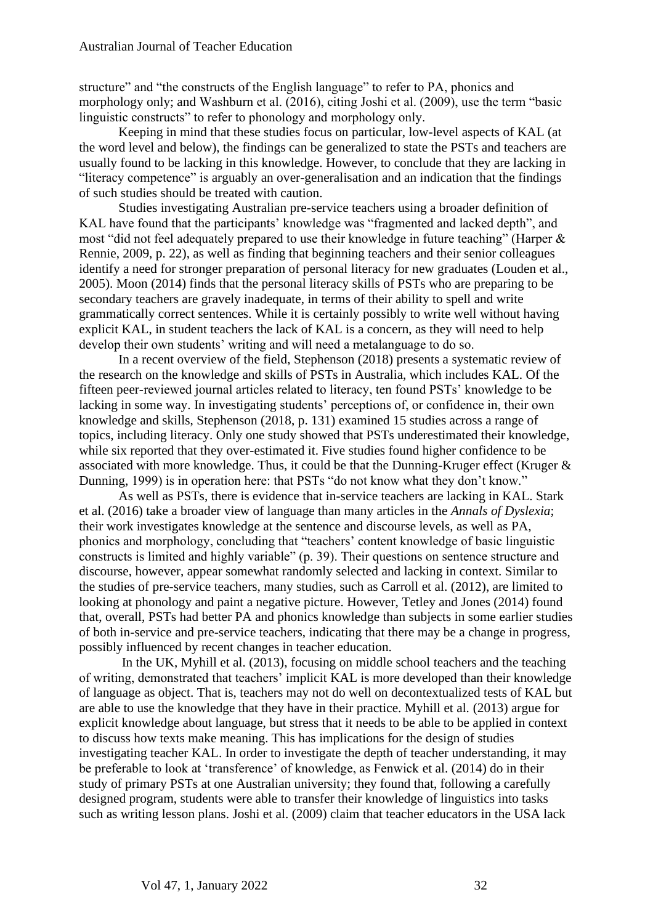structure" and "the constructs of the English language" to refer to PA, phonics and morphology only; and Washburn et al. (2016), citing Joshi et al. (2009), use the term "basic linguistic constructs" to refer to phonology and morphology only.

Keeping in mind that these studies focus on particular, low-level aspects of KAL (at the word level and below), the findings can be generalized to state the PSTs and teachers are usually found to be lacking in this knowledge. However, to conclude that they are lacking in "literacy competence" is arguably an over-generalisation and an indication that the findings of such studies should be treated with caution.

Studies investigating Australian pre-service teachers using a broader definition of KAL have found that the participants' knowledge was "fragmented and lacked depth", and most "did not feel adequately prepared to use their knowledge in future teaching" (Harper & Rennie, 2009, p. 22), as well as finding that beginning teachers and their senior colleagues identify a need for stronger preparation of personal literacy for new graduates (Louden et al., 2005). Moon (2014) finds that the personal literacy skills of PSTs who are preparing to be secondary teachers are gravely inadequate, in terms of their ability to spell and write grammatically correct sentences. While it is certainly possibly to write well without having explicit KAL, in student teachers the lack of KAL is a concern, as they will need to help develop their own students' writing and will need a metalanguage to do so.

In a recent overview of the field, Stephenson (2018) presents a systematic review of the research on the knowledge and skills of PSTs in Australia, which includes KAL. Of the fifteen peer-reviewed journal articles related to literacy, ten found PSTs' knowledge to be lacking in some way. In investigating students' perceptions of, or confidence in, their own knowledge and skills, Stephenson (2018, p. 131) examined 15 studies across a range of topics, including literacy. Only one study showed that PSTs underestimated their knowledge, while six reported that they over-estimated it. Five studies found higher confidence to be associated with more knowledge. Thus, it could be that the Dunning-Kruger effect (Kruger & Dunning, 1999) is in operation here: that PSTs "do not know what they don't know."

As well as PSTs, there is evidence that in-service teachers are lacking in KAL. Stark et al. (2016) take a broader view of language than many articles in the *Annals of Dyslexia*; their work investigates knowledge at the sentence and discourse levels, as well as PA, phonics and morphology, concluding that "teachers' content knowledge of basic linguistic constructs is limited and highly variable" (p. 39). Their questions on sentence structure and discourse, however, appear somewhat randomly selected and lacking in context. Similar to the studies of pre-service teachers, many studies, such as Carroll et al. (2012), are limited to looking at phonology and paint a negative picture. However, Tetley and Jones (2014) found that, overall, PSTs had better PA and phonics knowledge than subjects in some earlier studies of both in-service and pre-service teachers, indicating that there may be a change in progress, possibly influenced by recent changes in teacher education.

In the UK, Myhill et al. (2013), focusing on middle school teachers and the teaching of writing, demonstrated that teachers' implicit KAL is more developed than their knowledge of language as object. That is, teachers may not do well on decontextualized tests of KAL but are able to use the knowledge that they have in their practice. Myhill et al. (2013) argue for explicit knowledge about language, but stress that it needs to be able to be applied in context to discuss how texts make meaning. This has implications for the design of studies investigating teacher KAL. In order to investigate the depth of teacher understanding, it may be preferable to look at 'transference' of knowledge, as Fenwick et al. (2014) do in their study of primary PSTs at one Australian university; they found that, following a carefully designed program, students were able to transfer their knowledge of linguistics into tasks such as writing lesson plans. Joshi et al. (2009) claim that teacher educators in the USA lack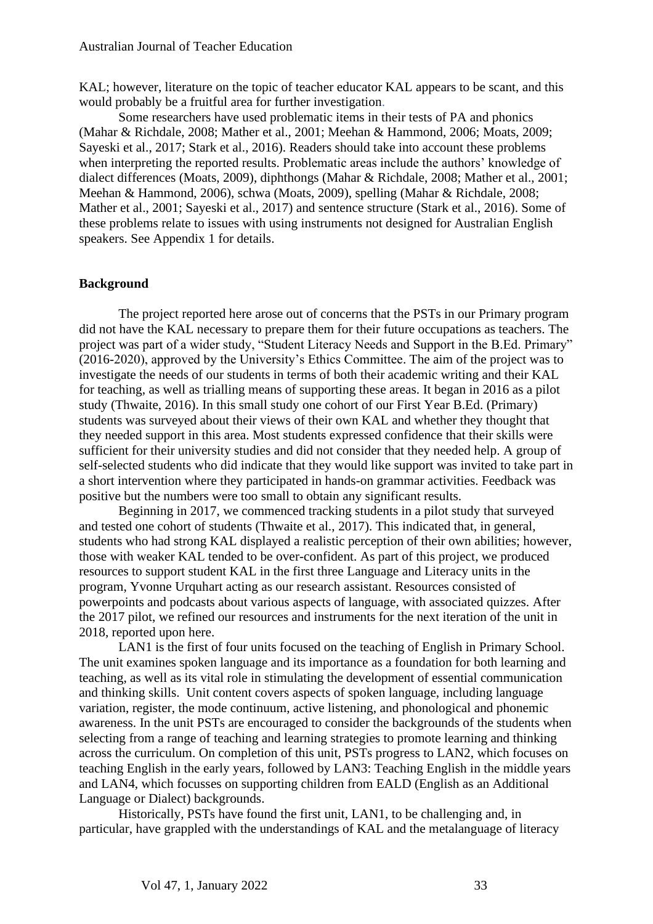KAL; however, literature on the topic of teacher educator KAL appears to be scant, and this would probably be a fruitful area for further investigation.

Some researchers have used problematic items in their tests of PA and phonics (Mahar & Richdale, 2008; Mather et al., 2001; Meehan & Hammond, 2006; Moats, 2009; Sayeski et al., 2017; Stark et al., 2016). Readers should take into account these problems when interpreting the reported results. Problematic areas include the authors' knowledge of dialect differences (Moats, 2009), diphthongs (Mahar & Richdale, 2008; Mather et al., 2001; Meehan & Hammond, 2006), schwa (Moats, 2009), spelling (Mahar & Richdale, 2008; Mather et al., 2001; Sayeski et al., 2017) and sentence structure (Stark et al., 2016). Some of these problems relate to issues with using instruments not designed for Australian English speakers. See Appendix 1 for details.

#### **Background**

The project reported here arose out of concerns that the PSTs in our Primary program did not have the KAL necessary to prepare them for their future occupations as teachers. The project was part of a wider study, "Student Literacy Needs and Support in the B.Ed. Primary" (2016-2020), approved by the University's Ethics Committee. The aim of the project was to investigate the needs of our students in terms of both their academic writing and their KAL for teaching, as well as trialling means of supporting these areas. It began in 2016 as a pilot study (Thwaite, 2016). In this small study one cohort of our First Year B.Ed. (Primary) students was surveyed about their views of their own KAL and whether they thought that they needed support in this area. Most students expressed confidence that their skills were sufficient for their university studies and did not consider that they needed help. A group of self-selected students who did indicate that they would like support was invited to take part in a short intervention where they participated in hands-on grammar activities. Feedback was positive but the numbers were too small to obtain any significant results.

Beginning in 2017, we commenced tracking students in a pilot study that surveyed and tested one cohort of students (Thwaite et al., 2017). This indicated that, in general, students who had strong KAL displayed a realistic perception of their own abilities; however, those with weaker KAL tended to be over-confident. As part of this project, we produced resources to support student KAL in the first three Language and Literacy units in the program, Yvonne Urquhart acting as our research assistant. Resources consisted of powerpoints and podcasts about various aspects of language, with associated quizzes. After the 2017 pilot, we refined our resources and instruments for the next iteration of the unit in 2018, reported upon here.

LAN1 is the first of four units focused on the teaching of English in Primary School. The unit examines spoken language and its importance as a foundation for both learning and teaching, as well as its vital role in stimulating the development of essential communication and thinking skills. Unit content covers aspects of spoken language, including language variation, register, the mode continuum, active listening, and phonological and phonemic awareness. In the unit PSTs are encouraged to consider the backgrounds of the students when selecting from a range of teaching and learning strategies to promote learning and thinking across the curriculum. On completion of this unit, PSTs progress to LAN2, which focuses on teaching English in the early years, followed by LAN3: Teaching English in the middle years and LAN4, which focusses on supporting children from EALD (English as an Additional Language or Dialect) backgrounds.

Historically, PSTs have found the first unit, LAN1, to be challenging and, in particular, have grappled with the understandings of KAL and the metalanguage of literacy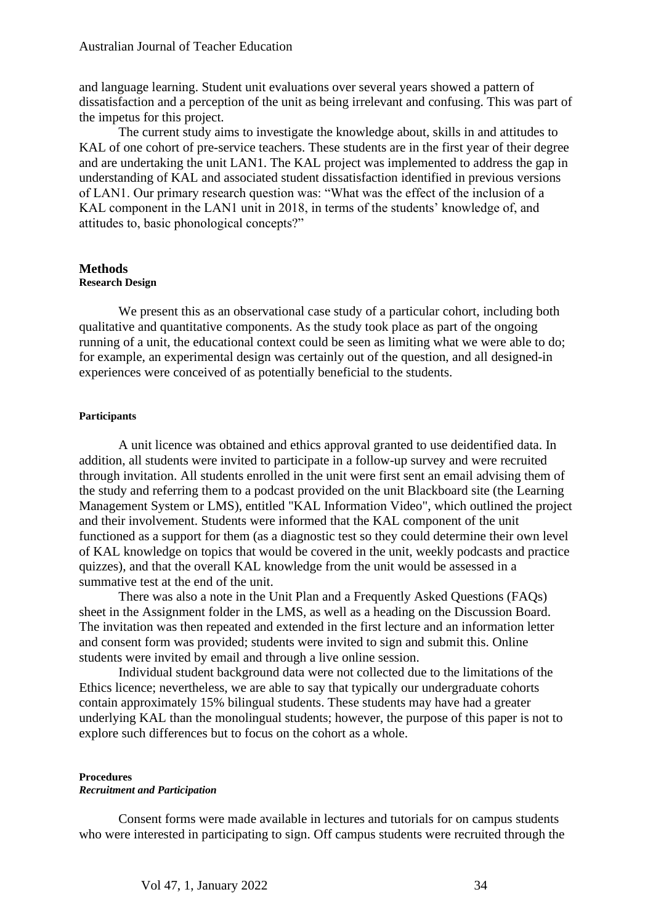and language learning. Student unit evaluations over several years showed a pattern of dissatisfaction and a perception of the unit as being irrelevant and confusing. This was part of the impetus for this project.

The current study aims to investigate the knowledge about, skills in and attitudes to KAL of one cohort of pre-service teachers. These students are in the first year of their degree and are undertaking the unit LAN1. The KAL project was implemented to address the gap in understanding of KAL and associated student dissatisfaction identified in previous versions of LAN1. Our primary research question was: "What was the effect of the inclusion of a KAL component in the LAN1 unit in 2018, in terms of the students' knowledge of, and attitudes to, basic phonological concepts?"

#### **Methods Research Design**

We present this as an observational case study of a particular cohort, including both qualitative and quantitative components. As the study took place as part of the ongoing running of a unit, the educational context could be seen as limiting what we were able to do; for example, an experimental design was certainly out of the question, and all designed-in experiences were conceived of as potentially beneficial to the students.

#### **Participants**

A unit licence was obtained and ethics approval granted to use deidentified data. In addition, all students were invited to participate in a follow-up survey and were recruited through invitation. All students enrolled in the unit were first sent an email advising them of the study and referring them to a podcast provided on the unit Blackboard site (the Learning Management System or LMS), entitled "KAL Information Video", which outlined the project and their involvement. Students were informed that the KAL component of the unit functioned as a support for them (as a diagnostic test so they could determine their own level of KAL knowledge on topics that would be covered in the unit, weekly podcasts and practice quizzes), and that the overall KAL knowledge from the unit would be assessed in a summative test at the end of the unit.

There was also a note in the Unit Plan and a Frequently Asked Questions (FAQs) sheet in the Assignment folder in the LMS, as well as a heading on the Discussion Board. The invitation was then repeated and extended in the first lecture and an information letter and consent form was provided; students were invited to sign and submit this. Online students were invited by email and through a live online session.

Individual student background data were not collected due to the limitations of the Ethics licence; nevertheless, we are able to say that typically our undergraduate cohorts contain approximately 15% bilingual students. These students may have had a greater underlying KAL than the monolingual students; however, the purpose of this paper is not to explore such differences but to focus on the cohort as a whole.

#### **Procedures** *Recruitment and Participation*

Consent forms were made available in lectures and tutorials for on campus students who were interested in participating to sign. Off campus students were recruited through the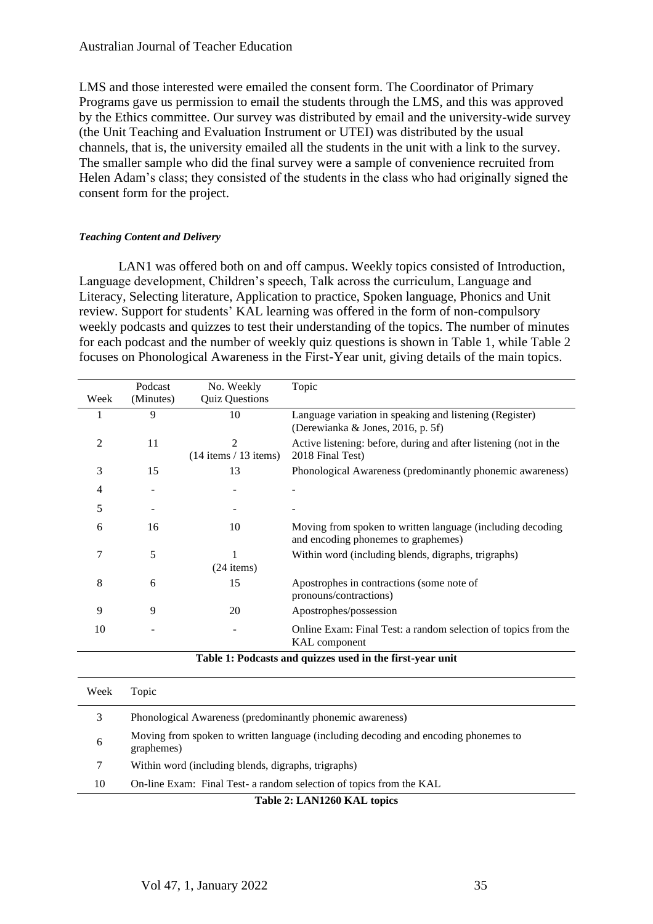LMS and those interested were emailed the consent form. The Coordinator of Primary Programs gave us permission to email the students through the LMS, and this was approved by the Ethics committee. Our survey was distributed by email and the university-wide survey (the Unit Teaching and Evaluation Instrument or UTEI) was distributed by the usual channels, that is, the university emailed all the students in the unit with a link to the survey. The smaller sample who did the final survey were a sample of convenience recruited from Helen Adam's class; they consisted of the students in the class who had originally signed the consent form for the project.

#### *Teaching Content and Delivery*

LAN1 was offered both on and off campus. Weekly topics consisted of Introduction, Language development, Children's speech, Talk across the curriculum, Language and Literacy, Selecting literature, Application to practice, Spoken language, Phonics and Unit review. Support for students' KAL learning was offered in the form of non-compulsory weekly podcasts and quizzes to test their understanding of the topics. The number of minutes for each podcast and the number of weekly quiz questions is shown in Table 1, while Table 2 focuses on Phonological Awareness in the First-Year unit, giving details of the main topics.

|                                                           | Podcast   | No. Weekly                | Topic                                                                                             |  |
|-----------------------------------------------------------|-----------|---------------------------|---------------------------------------------------------------------------------------------------|--|
| Week                                                      | (Minutes) | <b>Quiz Questions</b>     |                                                                                                   |  |
|                                                           | 9         | 10                        | Language variation in speaking and listening (Register)<br>(Derewianka & Jones, 2016, p. 5f)      |  |
| 2                                                         | 11        | 2                         | Active listening: before, during and after listening (not in the                                  |  |
|                                                           |           | $(14$ items $/ 13$ items) | 2018 Final Test)                                                                                  |  |
| 3                                                         | 15        | 13                        | Phonological Awareness (predominantly phonemic awareness)                                         |  |
| 4                                                         |           |                           |                                                                                                   |  |
| 5                                                         |           |                           |                                                                                                   |  |
| 6                                                         | 16        | 10                        | Moving from spoken to written language (including decoding<br>and encoding phonemes to graphemes) |  |
| 7                                                         | 5         | $(24$ items)              | Within word (including blends, digraphs, trigraphs)                                               |  |
| 8                                                         | 6         | 15                        | Apostrophes in contractions (some note of<br>pronouns/contractions)                               |  |
| 9                                                         | 9         | 20                        | Apostrophes/possession                                                                            |  |
| 10                                                        |           |                           | Online Exam: Final Test: a random selection of topics from the<br>KAL component                   |  |
| Table 1: Podcasts and quizzes used in the first-year unit |           |                           |                                                                                                   |  |
| Week                                                      | Topic     |                           |                                                                                                   |  |
| 3                                                         |           |                           | Phonological Awareness (predominantly phonemic awareness)                                         |  |

6 Moving from spoken to written language (including decoding and encoding phonemes to graphemes)

7 Within word (including blends, digraphs, trigraphs)

10 On-line Exam: Final Test- a random selection of topics from the KAL

**Table 2: LAN1260 KAL topics**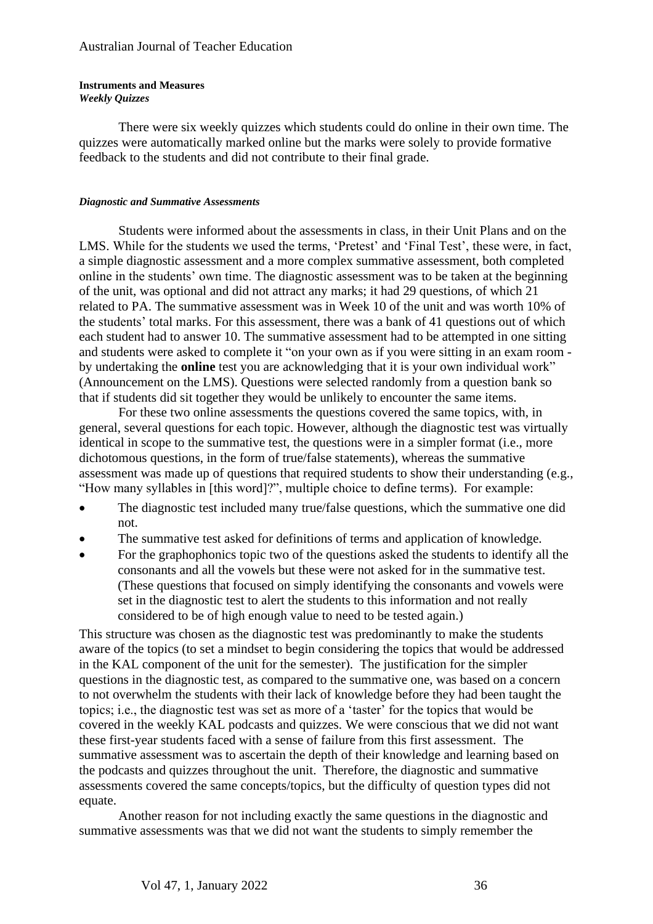#### **Instruments and Measures**  *Weekly Quizzes*

There were six weekly quizzes which students could do online in their own time. The quizzes were automatically marked online but the marks were solely to provide formative feedback to the students and did not contribute to their final grade.

#### *Diagnostic and Summative Assessments*

Students were informed about the assessments in class, in their Unit Plans and on the LMS. While for the students we used the terms, 'Pretest' and 'Final Test', these were, in fact, a simple diagnostic assessment and a more complex summative assessment, both completed online in the students' own time. The diagnostic assessment was to be taken at the beginning of the unit, was optional and did not attract any marks; it had 29 questions, of which 21 related to PA. The summative assessment was in Week 10 of the unit and was worth 10% of the students' total marks. For this assessment, there was a bank of 41 questions out of which each student had to answer 10. The summative assessment had to be attempted in one sitting and students were asked to complete it "on your own as if you were sitting in an exam room by undertaking the **online** test you are acknowledging that it is your own individual work" (Announcement on the LMS). Questions were selected randomly from a question bank so that if students did sit together they would be unlikely to encounter the same items.

For these two online assessments the questions covered the same topics, with, in general, several questions for each topic. However, although the diagnostic test was virtually identical in scope to the summative test, the questions were in a simpler format (i.e., more dichotomous questions, in the form of true/false statements), whereas the summative assessment was made up of questions that required students to show their understanding (e.g., "How many syllables in [this word]?", multiple choice to define terms). For example:

- The diagnostic test included many true/false questions, which the summative one did not.
- The summative test asked for definitions of terms and application of knowledge.
- For the graphophonics topic two of the questions asked the students to identify all the consonants and all the vowels but these were not asked for in the summative test. (These questions that focused on simply identifying the consonants and vowels were set in the diagnostic test to alert the students to this information and not really considered to be of high enough value to need to be tested again.)

This structure was chosen as the diagnostic test was predominantly to make the students aware of the topics (to set a mindset to begin considering the topics that would be addressed in the KAL component of the unit for the semester). The justification for the simpler questions in the diagnostic test, as compared to the summative one, was based on a concern to not overwhelm the students with their lack of knowledge before they had been taught the topics; i.e., the diagnostic test was set as more of a 'taster' for the topics that would be covered in the weekly KAL podcasts and quizzes. We were conscious that we did not want these first-year students faced with a sense of failure from this first assessment. The summative assessment was to ascertain the depth of their knowledge and learning based on the podcasts and quizzes throughout the unit. Therefore, the diagnostic and summative assessments covered the same concepts/topics, but the difficulty of question types did not equate.

Another reason for not including exactly the same questions in the diagnostic and summative assessments was that we did not want the students to simply remember the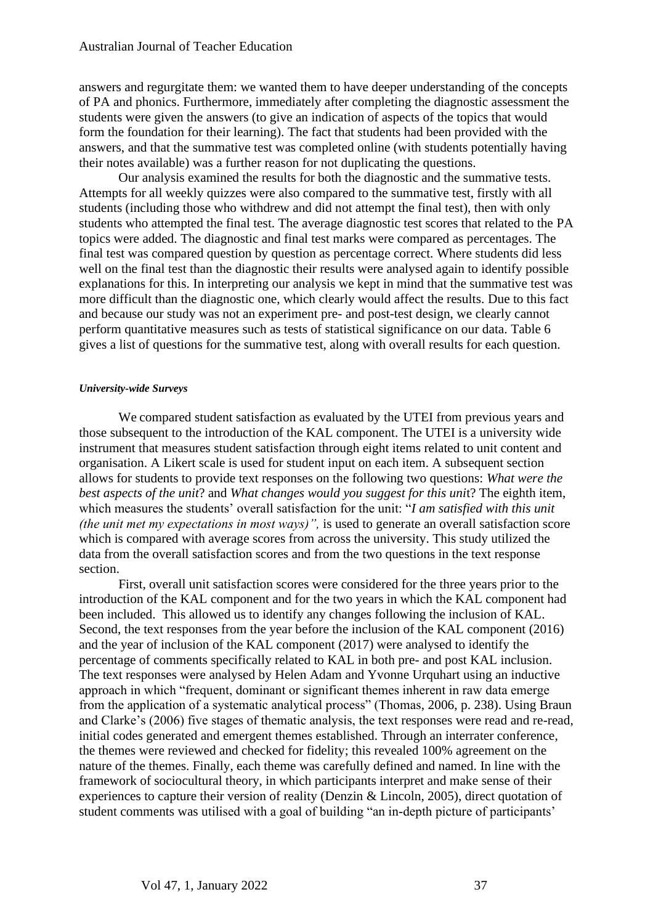answers and regurgitate them: we wanted them to have deeper understanding of the concepts of PA and phonics. Furthermore, immediately after completing the diagnostic assessment the students were given the answers (to give an indication of aspects of the topics that would form the foundation for their learning). The fact that students had been provided with the answers, and that the summative test was completed online (with students potentially having their notes available) was a further reason for not duplicating the questions.

Our analysis examined the results for both the diagnostic and the summative tests. Attempts for all weekly quizzes were also compared to the summative test, firstly with all students (including those who withdrew and did not attempt the final test), then with only students who attempted the final test. The average diagnostic test scores that related to the PA topics were added. The diagnostic and final test marks were compared as percentages. The final test was compared question by question as percentage correct. Where students did less well on the final test than the diagnostic their results were analysed again to identify possible explanations for this. In interpreting our analysis we kept in mind that the summative test was more difficult than the diagnostic one, which clearly would affect the results. Due to this fact and because our study was not an experiment pre- and post-test design, we clearly cannot perform quantitative measures such as tests of statistical significance on our data. Table 6 gives a list of questions for the summative test, along with overall results for each question.

#### *University-wide Surveys*

We compared student satisfaction as evaluated by the UTEI from previous years and those subsequent to the introduction of the KAL component. The UTEI is a university wide instrument that measures student satisfaction through eight items related to unit content and organisation. A Likert scale is used for student input on each item. A subsequent section allows for students to provide text responses on the following two questions: *What were the best aspects of the unit*? and *What changes would you suggest for this uni*t? The eighth item, which measures the students' overall satisfaction for the unit: "*I am satisfied with this unit (the unit met my expectations in most ways)",* is used to generate an overall satisfaction score which is compared with average scores from across the university. This study utilized the data from the overall satisfaction scores and from the two questions in the text response section.

First, overall unit satisfaction scores were considered for the three years prior to the introduction of the KAL component and for the two years in which the KAL component had been included. This allowed us to identify any changes following the inclusion of KAL. Second, the text responses from the year before the inclusion of the KAL component (2016) and the year of inclusion of the KAL component (2017) were analysed to identify the percentage of comments specifically related to KAL in both pre- and post KAL inclusion. The text responses were analysed by Helen Adam and Yvonne Urquhart using an inductive approach in which "frequent, dominant or significant themes inherent in raw data emerge from the application of a systematic analytical process" (Thomas, 2006, p. 238). Using Braun and Clarke's (2006) five stages of thematic analysis, the text responses were read and re-read, initial codes generated and emergent themes established. Through an interrater conference, the themes were reviewed and checked for fidelity; this revealed 100% agreement on the nature of the themes. Finally, each theme was carefully defined and named. In line with the framework of sociocultural theory, in which participants interpret and make sense of their experiences to capture their version of reality (Denzin & Lincoln, 2005), direct quotation of student comments was utilised with a goal of building "an in-depth picture of participants'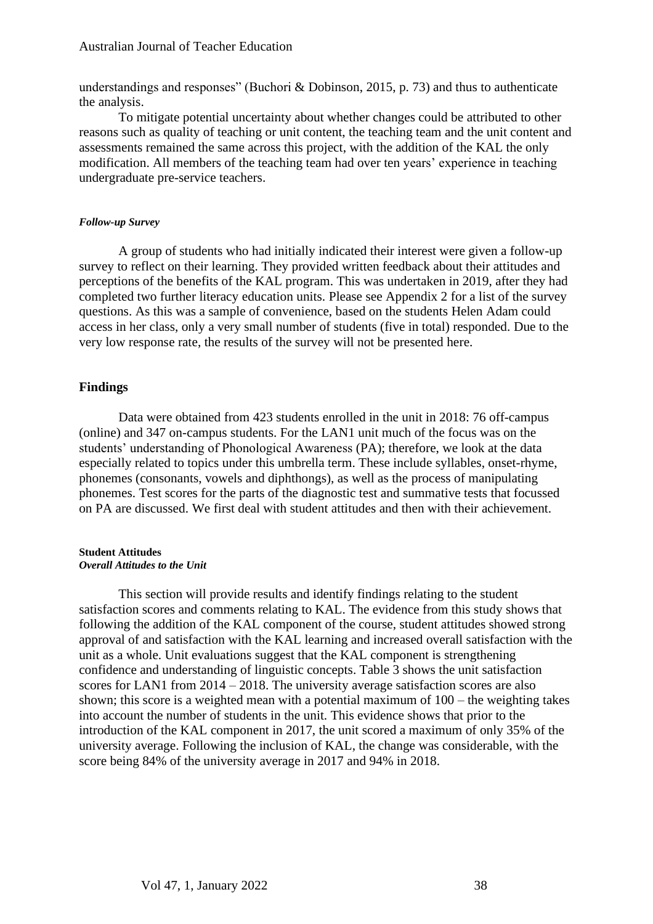understandings and responses" (Buchori & Dobinson, 2015, p. 73) and thus to authenticate the analysis.

To mitigate potential uncertainty about whether changes could be attributed to other reasons such as quality of teaching or unit content, the teaching team and the unit content and assessments remained the same across this project, with the addition of the KAL the only modification. All members of the teaching team had over ten years' experience in teaching undergraduate pre-service teachers.

#### *Follow-up Survey*

A group of students who had initially indicated their interest were given a follow-up survey to reflect on their learning. They provided written feedback about their attitudes and perceptions of the benefits of the KAL program. This was undertaken in 2019, after they had completed two further literacy education units. Please see Appendix 2 for a list of the survey questions. As this was a sample of convenience, based on the students Helen Adam could access in her class, only a very small number of students (five in total) responded. Due to the very low response rate, the results of the survey will not be presented here.

#### **Findings**

Data were obtained from 423 students enrolled in the unit in 2018: 76 off-campus (online) and 347 on-campus students. For the LAN1 unit much of the focus was on the students' understanding of Phonological Awareness (PA); therefore, we look at the data especially related to topics under this umbrella term. These include syllables, onset-rhyme, phonemes (consonants, vowels and diphthongs), as well as the process of manipulating phonemes. Test scores for the parts of the diagnostic test and summative tests that focussed on PA are discussed. We first deal with student attitudes and then with their achievement.

#### **Student Attitudes**  *Overall Attitudes to the Unit*

This section will provide results and identify findings relating to the student satisfaction scores and comments relating to KAL. The evidence from this study shows that following the addition of the KAL component of the course, student attitudes showed strong approval of and satisfaction with the KAL learning and increased overall satisfaction with the unit as a whole. Unit evaluations suggest that the KAL component is strengthening confidence and understanding of linguistic concepts. Table 3 shows the unit satisfaction scores for LAN1 from 2014 – 2018. The university average satisfaction scores are also shown; this score is a weighted mean with a potential maximum of 100 – the weighting takes into account the number of students in the unit. This evidence shows that prior to the introduction of the KAL component in 2017, the unit scored a maximum of only 35% of the university average. Following the inclusion of KAL, the change was considerable, with the score being 84% of the university average in 2017 and 94% in 2018.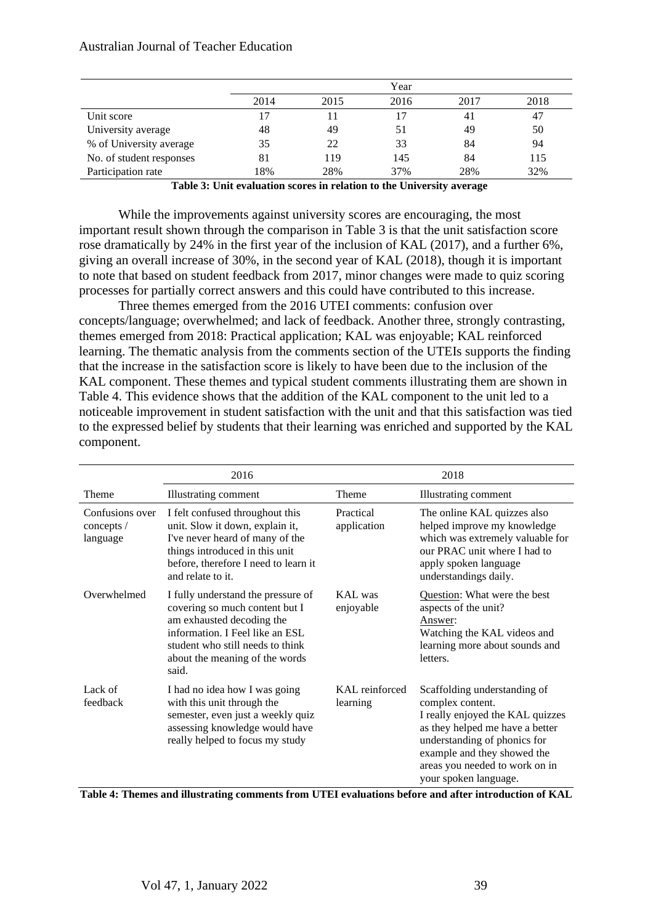|                          |      | Year |      |      |      |
|--------------------------|------|------|------|------|------|
|                          | 2014 | 2015 | 2016 | 2017 | 2018 |
| Unit score               |      |      |      | 41   | 47   |
| University average       | 48   | 49   | 51   | 49   | 50   |
| % of University average  | 35   | 22   | 33   | 84   | 94   |
| No. of student responses | 81   | 119  | 145  | 84   | 115  |
| Participation rate       | 18%  | 28%  | 37%  | 28%  | 32%  |

**Table 3: Unit evaluation scores in relation to the University average**

While the improvements against university scores are encouraging, the most important result shown through the comparison in Table 3 is that the unit satisfaction score rose dramatically by 24% in the first year of the inclusion of KAL (2017), and a further 6%, giving an overall increase of 30%, in the second year of KAL (2018), though it is important to note that based on student feedback from 2017, minor changes were made to quiz scoring processes for partially correct answers and this could have contributed to this increase.

Three themes emerged from the 2016 UTEI comments: confusion over concepts/language; overwhelmed; and lack of feedback. Another three, strongly contrasting, themes emerged from 2018: Practical application; KAL was enjoyable; KAL reinforced learning. The thematic analysis from the comments section of the UTEIs supports the finding that the increase in the satisfaction score is likely to have been due to the inclusion of the KAL component. These themes and typical student comments illustrating them are shown in Table 4. This evidence shows that the addition of the KAL component to the unit led to a noticeable improvement in student satisfaction with the unit and that this satisfaction was tied to the expressed belief by students that their learning was enriched and supported by the KAL component.

|                                             | 2016                                                                                                                                                                                                                |                            | 2018                                                                                                                                                                                                                                              |
|---------------------------------------------|---------------------------------------------------------------------------------------------------------------------------------------------------------------------------------------------------------------------|----------------------------|---------------------------------------------------------------------------------------------------------------------------------------------------------------------------------------------------------------------------------------------------|
| Theme                                       | Illustrating comment                                                                                                                                                                                                | Theme                      | <b>Illustrating comment</b>                                                                                                                                                                                                                       |
| Confusions over<br>concepts $/$<br>language | I felt confused throughout this<br>unit. Slow it down, explain it,<br>I've never heard of many of the<br>things introduced in this unit<br>before, therefore I need to learn it<br>and relate to it.                | Practical<br>application   | The online KAL quizzes also<br>helped improve my knowledge<br>which was extremely valuable for<br>our PRAC unit where I had to<br>apply spoken language<br>understandings daily.                                                                  |
| Overwhelmed                                 | I fully understand the pressure of<br>covering so much content but I<br>am exhausted decoding the<br>information. I Feel like an ESL<br>student who still needs to think<br>about the meaning of the words<br>said. | KAL was<br>enjoyable       | Question: What were the best<br>aspects of the unit?<br>Answer:<br>Watching the KAL videos and<br>learning more about sounds and<br>letters.                                                                                                      |
| Lack of<br>feedback                         | I had no idea how I was going<br>with this unit through the<br>semester, even just a weekly quiz<br>assessing knowledge would have<br>really helped to focus my study                                               | KAL reinforced<br>learning | Scaffolding understanding of<br>complex content.<br>I really enjoyed the KAL quizzes<br>as they helped me have a better<br>understanding of phonics for<br>example and they showed the<br>areas you needed to work on in<br>your spoken language. |

**Table 4: Themes and illustrating comments from UTEI evaluations before and after introduction of KAL**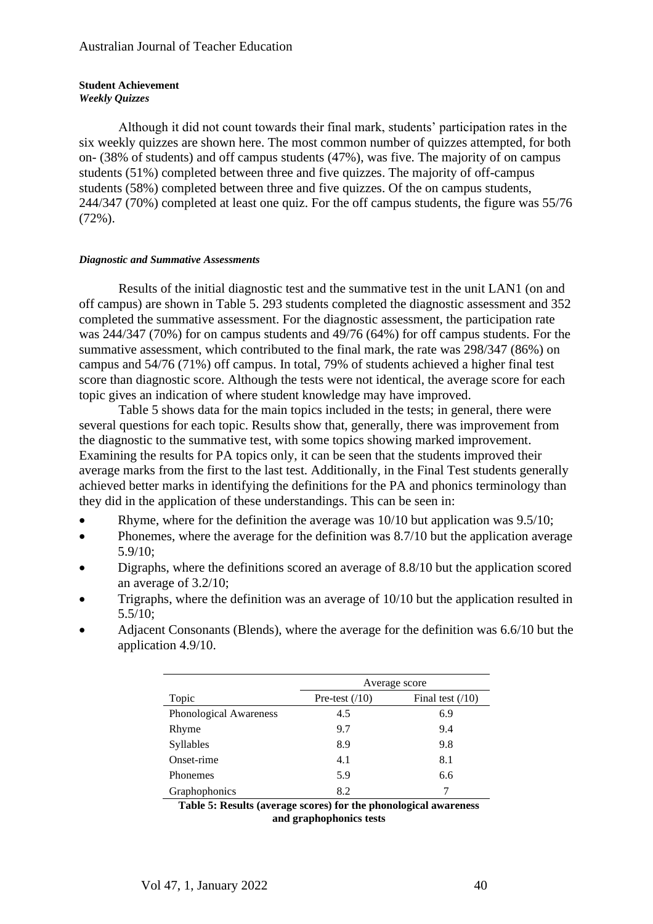#### **Student Achievement** *Weekly Quizzes*

Although it did not count towards their final mark, students' participation rates in the six weekly quizzes are shown here. The most common number of quizzes attempted, for both on- (38% of students) and off campus students (47%), was five. The majority of on campus students (51%) completed between three and five quizzes. The majority of off-campus students (58%) completed between three and five quizzes. Of the on campus students, 244/347 (70%) completed at least one quiz. For the off campus students, the figure was 55/76  $(72\%)$ .

#### *Diagnostic and Summative Assessments*

Results of the initial diagnostic test and the summative test in the unit LAN1 (on and off campus) are shown in Table 5. 293 students completed the diagnostic assessment and 352 completed the summative assessment. For the diagnostic assessment, the participation rate was 244/347 (70%) for on campus students and 49/76 (64%) for off campus students. For the summative assessment, which contributed to the final mark, the rate was 298/347 (86%) on campus and 54/76 (71%) off campus. In total, 79% of students achieved a higher final test score than diagnostic score. Although the tests were not identical, the average score for each topic gives an indication of where student knowledge may have improved.

Table 5 shows data for the main topics included in the tests; in general, there were several questions for each topic. Results show that, generally, there was improvement from the diagnostic to the summative test, with some topics showing marked improvement. Examining the results for PA topics only, it can be seen that the students improved their average marks from the first to the last test. Additionally, in the Final Test students generally achieved better marks in identifying the definitions for the PA and phonics terminology than they did in the application of these understandings. This can be seen in:

- Rhyme, where for the definition the average was  $10/10$  but application was  $9.5/10$ ;
- Phonemes, where the average for the definition was 8.7/10 but the application average 5.9/10;
- Digraphs, where the definitions scored an average of 8.8/10 but the application scored an average of 3.2/10;
- Trigraphs, where the definition was an average of 10/10 but the application resulted in 5.5/10;
- Adjacent Consonants (Blends), where the average for the definition was 6.6/10 but the application 4.9/10.

|                        | Average score   |                   |  |  |
|------------------------|-----------------|-------------------|--|--|
| Topic                  | Pre-test $(10)$ | Final test $(10)$ |  |  |
| Phonological Awareness | 4.5             | 6.9               |  |  |
| Rhyme                  | 9.7             | 9.4               |  |  |
| Syllables              | 8.9             | 9.8               |  |  |
| Onset-rime             | 4.1             | 8.1               |  |  |
| <b>Phonemes</b>        | 5.9             | 6.6               |  |  |
| Graphophonics          | 8.2             |                   |  |  |

**Table 5: Results (average scores) for the phonological awareness and graphophonics tests**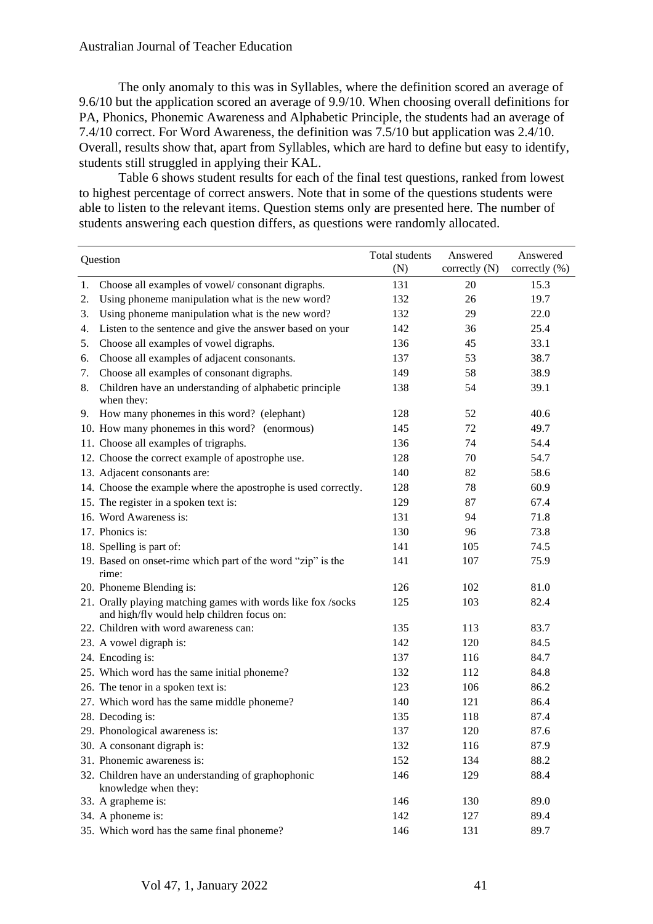The only anomaly to this was in Syllables, where the definition scored an average of 9.6/10 but the application scored an average of 9.9/10. When choosing overall definitions for PA, Phonics, Phonemic Awareness and Alphabetic Principle, the students had an average of 7.4/10 correct. For Word Awareness, the definition was 7.5/10 but application was 2.4/10. Overall, results show that, apart from Syllables, which are hard to define but easy to identify, students still struggled in applying their KAL.

Table 6 shows student results for each of the final test questions, ranked from lowest to highest percentage of correct answers. Note that in some of the questions students were able to listen to the relevant items. Question stems only are presented here. The number of students answering each question differs, as questions were randomly allocated.

| Question |                                                                                                            | Total students<br>(N) | Answered<br>correctly $(N)$ | Answered<br>correctly (%) |
|----------|------------------------------------------------------------------------------------------------------------|-----------------------|-----------------------------|---------------------------|
| 1.       | Choose all examples of vowel/consonant digraphs.                                                           | 131                   | 20                          | 15.3                      |
| 2.       | Using phoneme manipulation what is the new word?                                                           | 132                   | 26                          | 19.7                      |
| 3.       | Using phoneme manipulation what is the new word?                                                           | 132                   | 29                          | 22.0                      |
| 4.       | Listen to the sentence and give the answer based on your                                                   | 142                   | 36                          | 25.4                      |
| 5.       | Choose all examples of vowel digraphs.                                                                     | 136                   | 45                          | 33.1                      |
| 6.       | Choose all examples of adjacent consonants.                                                                | 137                   | 53                          | 38.7                      |
| 7.       | Choose all examples of consonant digraphs.                                                                 | 149                   | 58                          | 38.9                      |
| 8.       | Children have an understanding of alphabetic principle<br>when they:                                       | 138                   | 54                          | 39.1                      |
| 9.       | How many phonemes in this word? (elephant)                                                                 | 128                   | 52                          | 40.6                      |
|          | 10. How many phonemes in this word? (enormous)                                                             | 145                   | 72                          | 49.7                      |
|          | 11. Choose all examples of trigraphs.                                                                      | 136                   | 74                          | 54.4                      |
|          | 12. Choose the correct example of apostrophe use.                                                          | 128                   | 70                          | 54.7                      |
|          | 13. Adjacent consonants are:                                                                               | 140                   | 82                          | 58.6                      |
|          | 14. Choose the example where the apostrophe is used correctly.                                             | 128                   | 78                          | 60.9                      |
|          | 15. The register in a spoken text is:                                                                      | 129                   | 87                          | 67.4                      |
|          | 16. Word Awareness is:                                                                                     | 131                   | 94                          | 71.8                      |
|          | 17. Phonics is:                                                                                            | 130                   | 96                          | 73.8                      |
|          | 18. Spelling is part of:                                                                                   | 141                   | 105                         | 74.5                      |
|          | 19. Based on onset-rime which part of the word "zip" is the<br>rime:                                       | 141                   | 107                         | 75.9                      |
|          | 20. Phoneme Blending is:                                                                                   | 126                   | 102                         | 81.0                      |
|          | 21. Orally playing matching games with words like fox /socks<br>and high/fly would help children focus on: | 125                   | 103                         | 82.4                      |
|          | 22. Children with word awareness can:                                                                      | 135                   | 113                         | 83.7                      |
|          | 23. A vowel digraph is:                                                                                    | 142                   | 120                         | 84.5                      |
|          | 24. Encoding is:                                                                                           | 137                   | 116                         | 84.7                      |
|          | 25. Which word has the same initial phoneme?                                                               | 132                   | 112                         | 84.8                      |
|          | 26. The tenor in a spoken text is:                                                                         | 123                   | 106                         | 86.2                      |
|          | 27. Which word has the same middle phoneme?                                                                | 140                   | 121                         | 86.4                      |
|          | 28. Decoding is:                                                                                           | 135                   | 118                         | 87.4                      |
|          | 29. Phonological awareness is:                                                                             | 137                   | 120                         | 87.6                      |
|          | 30. A consonant digraph is:                                                                                | 132                   | 116                         | 87.9                      |
|          | 31. Phonemic awareness is:                                                                                 | 152                   | 134                         | 88.2                      |
|          | 32. Children have an understanding of graphophonic<br>knowledge when they:                                 | 146                   | 129                         | 88.4                      |
|          | 33. A grapheme is:                                                                                         | 146                   | 130                         | 89.0                      |
|          | 34. A phoneme is:                                                                                          | 142                   | 127                         | 89.4                      |
|          | 35. Which word has the same final phoneme?                                                                 | 146                   | 131                         | 89.7                      |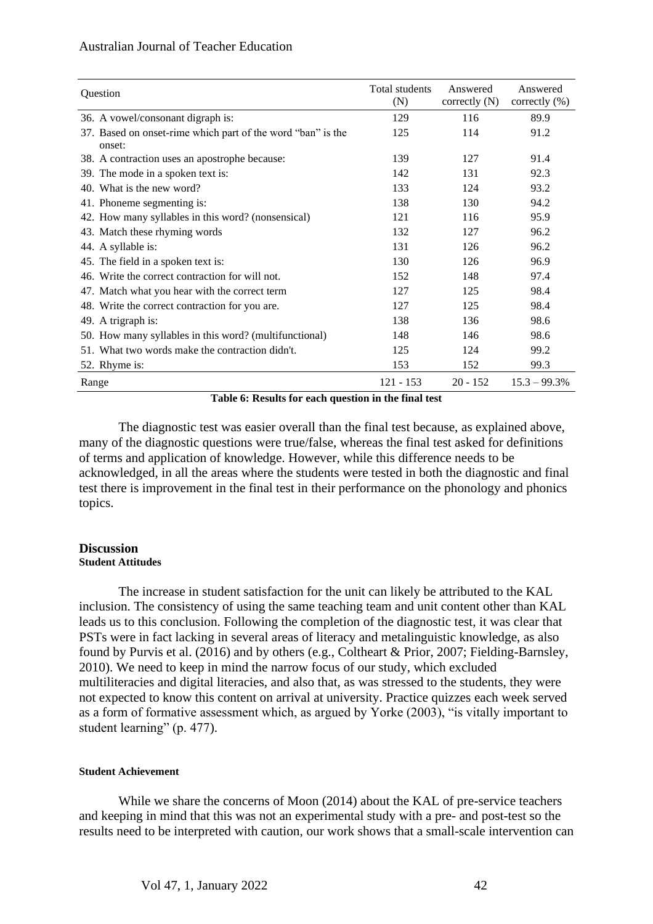| Question                                                              | Total students<br>(N) | Answered<br>correctly $(N)$ | Answered<br>correctly $(\%)$ |
|-----------------------------------------------------------------------|-----------------------|-----------------------------|------------------------------|
| 36. A vowel/consonant digraph is:                                     | 129                   | 116                         | 89.9                         |
| 37. Based on onset-rime which part of the word "ban" is the<br>onset: | 125                   | 114                         | 91.2                         |
| 38. A contraction uses an apostrophe because:                         | 139                   | 127                         | 91.4                         |
| 39. The mode in a spoken text is:                                     | 142                   | 131                         | 92.3                         |
| 40. What is the new word?                                             | 133                   | 124                         | 93.2                         |
| 41. Phoneme segmenting is:                                            | 138                   | 130                         | 94.2                         |
| 42. How many syllables in this word? (nonsensical)                    | 121                   | 116                         | 95.9                         |
| 43. Match these rhyming words                                         | 132                   | 127                         | 96.2                         |
| 44. A syllable is:                                                    | 131                   | 126                         | 96.2                         |
| 45. The field in a spoken text is:                                    | 130                   | 126                         | 96.9                         |
| 46. Write the correct contraction for will not.                       | 152                   | 148                         | 97.4                         |
| 47. Match what you hear with the correct term                         | 127                   | 125                         | 98.4                         |
| 48. Write the correct contraction for you are.                        | 127                   | 125                         | 98.4                         |
| 49. A trigraph is:                                                    | 138                   | 136                         | 98.6                         |
| 50. How many syllables in this word? (multifunctional)                | 148                   | 146                         | 98.6                         |
| 51. What two words make the contraction didn't.                       | 125                   | 124                         | 99.2                         |
| 52. Rhyme is:                                                         | 153                   | 152                         | 99.3                         |
| Range                                                                 | $121 - 153$           | $20 - 152$                  | $15.3 - 99.3%$               |

**Table 6: Results for each question in the final test**

The diagnostic test was easier overall than the final test because, as explained above, many of the diagnostic questions were true/false, whereas the final test asked for definitions of terms and application of knowledge. However, while this difference needs to be acknowledged, in all the areas where the students were tested in both the diagnostic and final test there is improvement in the final test in their performance on the phonology and phonics topics.

#### **Discussion Student Attitudes**

The increase in student satisfaction for the unit can likely be attributed to the KAL inclusion. The consistency of using the same teaching team and unit content other than KAL leads us to this conclusion. Following the completion of the diagnostic test, it was clear that PSTs were in fact lacking in several areas of literacy and metalinguistic knowledge, as also found by Purvis et al. (2016) and by others (e.g., Coltheart & Prior, 2007; Fielding-Barnsley, 2010). We need to keep in mind the narrow focus of our study, which excluded multiliteracies and digital literacies, and also that, as was stressed to the students, they were not expected to know this content on arrival at university. Practice quizzes each week served as a form of formative assessment which, as argued by Yorke (2003), "is vitally important to student learning" (p. 477).

## **Student Achievement**

While we share the concerns of Moon (2014) about the KAL of pre-service teachers and keeping in mind that this was not an experimental study with a pre- and post-test so the results need to be interpreted with caution, our work shows that a small-scale intervention can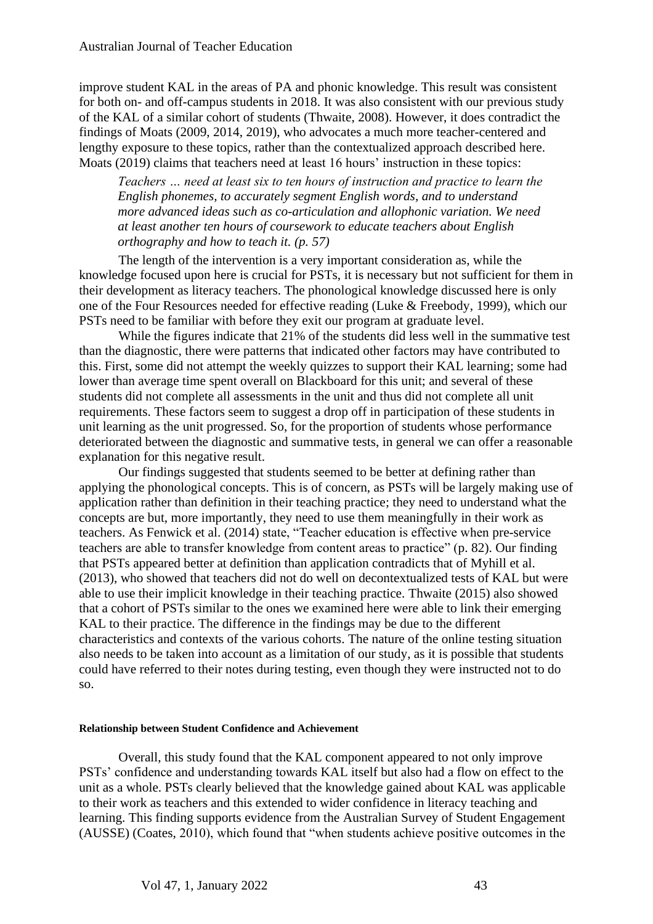improve student KAL in the areas of PA and phonic knowledge. This result was consistent for both on- and off-campus students in 2018. It was also consistent with our previous study of the KAL of a similar cohort of students (Thwaite, 2008). However, it does contradict the findings of Moats (2009, 2014, 2019), who advocates a much more teacher-centered and lengthy exposure to these topics, rather than the contextualized approach described here. Moats (2019) claims that teachers need at least 16 hours' instruction in these topics:

*Teachers … need at least six to ten hours of instruction and practice to learn the English phonemes, to accurately segment English words, and to understand more advanced ideas such as co-articulation and allophonic variation. We need at least another ten hours of coursework to educate teachers about English orthography and how to teach it. (p. 57)*

The length of the intervention is a very important consideration as, while the knowledge focused upon here is crucial for PSTs, it is necessary but not sufficient for them in their development as literacy teachers. The phonological knowledge discussed here is only one of the Four Resources needed for effective reading (Luke & Freebody, 1999), which our PSTs need to be familiar with before they exit our program at graduate level.

While the figures indicate that 21% of the students did less well in the summative test than the diagnostic, there were patterns that indicated other factors may have contributed to this. First, some did not attempt the weekly quizzes to support their KAL learning; some had lower than average time spent overall on Blackboard for this unit; and several of these students did not complete all assessments in the unit and thus did not complete all unit requirements. These factors seem to suggest a drop off in participation of these students in unit learning as the unit progressed. So, for the proportion of students whose performance deteriorated between the diagnostic and summative tests, in general we can offer a reasonable explanation for this negative result.

Our findings suggested that students seemed to be better at defining rather than applying the phonological concepts. This is of concern, as PSTs will be largely making use of application rather than definition in their teaching practice; they need to understand what the concepts are but, more importantly, they need to use them meaningfully in their work as teachers. As Fenwick et al. (2014) state, "Teacher education is effective when pre-service teachers are able to transfer knowledge from content areas to practice" (p. 82). Our finding that PSTs appeared better at definition than application contradicts that of Myhill et al. (2013), who showed that teachers did not do well on decontextualized tests of KAL but were able to use their implicit knowledge in their teaching practice. Thwaite (2015) also showed that a cohort of PSTs similar to the ones we examined here were able to link their emerging KAL to their practice. The difference in the findings may be due to the different characteristics and contexts of the various cohorts. The nature of the online testing situation also needs to be taken into account as a limitation of our study, as it is possible that students could have referred to their notes during testing, even though they were instructed not to do so.

#### **Relationship between Student Confidence and Achievement**

Overall, this study found that the KAL component appeared to not only improve PSTs' confidence and understanding towards KAL itself but also had a flow on effect to the unit as a whole. PSTs clearly believed that the knowledge gained about KAL was applicable to their work as teachers and this extended to wider confidence in literacy teaching and learning. This finding supports evidence from the Australian Survey of Student Engagement (AUSSE) (Coates, 2010), which found that "when students achieve positive outcomes in the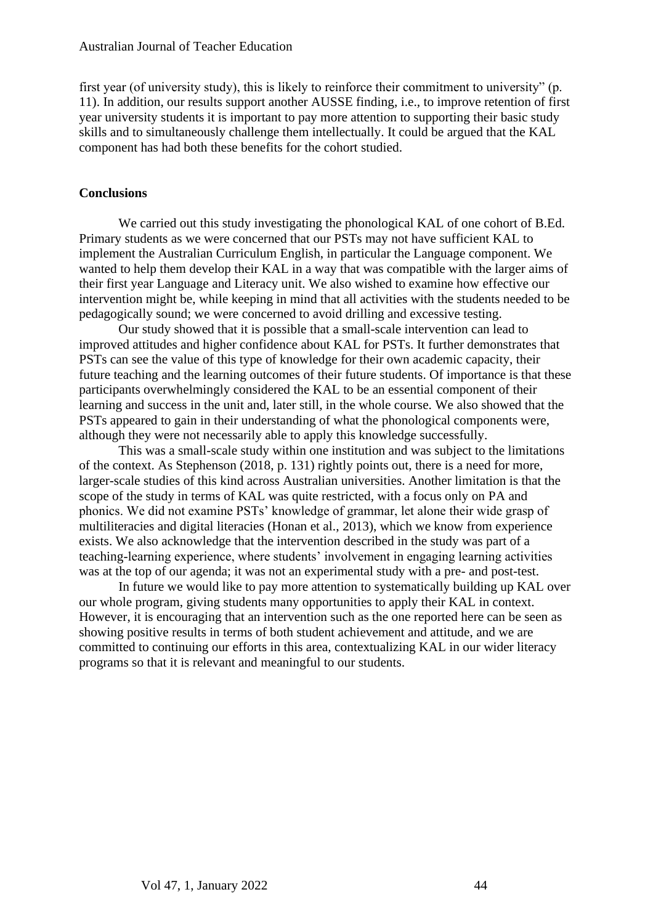first year (of university study), this is likely to reinforce their commitment to university" (p. 11). In addition, our results support another AUSSE finding, i.e., to improve retention of first year university students it is important to pay more attention to supporting their basic study skills and to simultaneously challenge them intellectually. It could be argued that the KAL component has had both these benefits for the cohort studied.

### **Conclusions**

We carried out this study investigating the phonological KAL of one cohort of B.Ed. Primary students as we were concerned that our PSTs may not have sufficient KAL to implement the Australian Curriculum English, in particular the Language component. We wanted to help them develop their KAL in a way that was compatible with the larger aims of their first year Language and Literacy unit. We also wished to examine how effective our intervention might be, while keeping in mind that all activities with the students needed to be pedagogically sound; we were concerned to avoid drilling and excessive testing.

Our study showed that it is possible that a small-scale intervention can lead to improved attitudes and higher confidence about KAL for PSTs. It further demonstrates that PSTs can see the value of this type of knowledge for their own academic capacity, their future teaching and the learning outcomes of their future students. Of importance is that these participants overwhelmingly considered the KAL to be an essential component of their learning and success in the unit and, later still, in the whole course. We also showed that the PSTs appeared to gain in their understanding of what the phonological components were, although they were not necessarily able to apply this knowledge successfully.

This was a small-scale study within one institution and was subject to the limitations of the context. As Stephenson (2018, p. 131) rightly points out, there is a need for more, larger-scale studies of this kind across Australian universities. Another limitation is that the scope of the study in terms of KAL was quite restricted, with a focus only on PA and phonics. We did not examine PSTs' knowledge of grammar, let alone their wide grasp of multiliteracies and digital literacies (Honan et al., 2013), which we know from experience exists. We also acknowledge that the intervention described in the study was part of a teaching-learning experience, where students' involvement in engaging learning activities was at the top of our agenda; it was not an experimental study with a pre- and post-test.

In future we would like to pay more attention to systematically building up KAL over our whole program, giving students many opportunities to apply their KAL in context. However, it is encouraging that an intervention such as the one reported here can be seen as showing positive results in terms of both student achievement and attitude, and we are committed to continuing our efforts in this area, contextualizing KAL in our wider literacy programs so that it is relevant and meaningful to our students.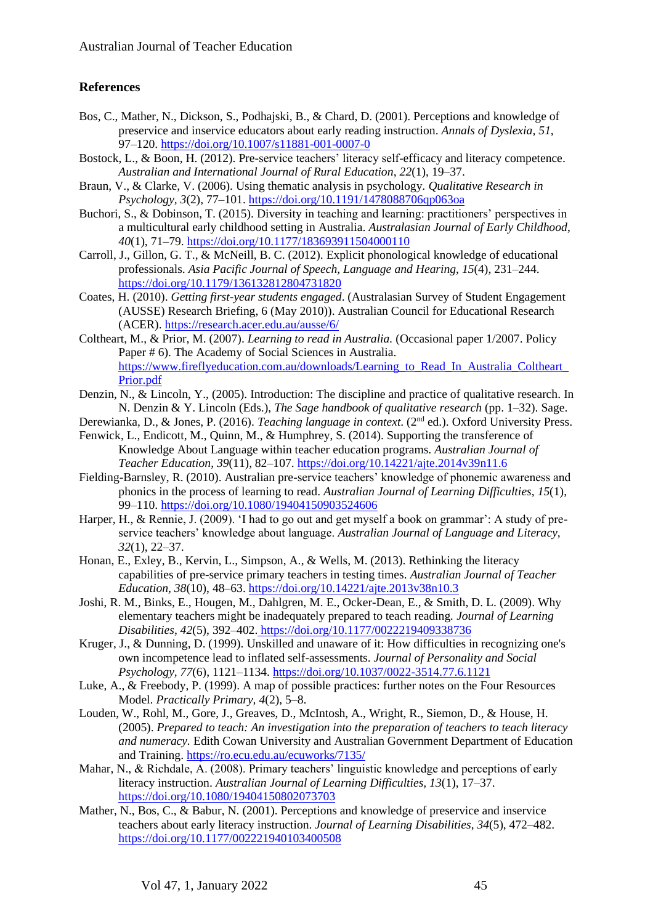# **References**

- Bos, C., Mather, N., Dickson, S., Podhajski, B., & Chard, D. (2001). Perceptions and knowledge of preservice and inservice educators about early reading instruction. *Annals of Dyslexia, 51*, 97–120. <https://doi.org/10.1007/s11881-001-0007-0>
- Bostock, L., & Boon, H. (2012). Pre-service teachers' literacy self-efficacy and literacy competence. *Australian and International Journal of Rural Education*, *22*(1), 19–37.
- Braun, V., & Clarke, V. (2006). Using thematic analysis in psychology. *Qualitative Research in Psychology, 3*(2), 77–101.<https://doi.org/10.1191/1478088706qp063oa>
- Buchori, S., & Dobinson, T. (2015). Diversity in teaching and learning: practitioners' perspectives in a multicultural early childhood setting in Australia. *Australasian Journal of Early Childhood*, *40*(1), 71–79. <https://doi.org/10.1177/183693911504000110>
- Carroll, J., Gillon, G. T., & McNeill, B. C. (2012). Explicit phonological knowledge of educational professionals. *Asia Pacific Journal of Speech, Language and Hearing*, *15*(4), 231–244. <https://doi.org/10.1179/136132812804731820>
- Coates, H. (2010). *Getting first-year students engaged*. (Australasian Survey of Student Engagement (AUSSE) Research Briefing, 6 (May 2010)). Australian Council for Educational Research (ACER).<https://research.acer.edu.au/ausse/6/>
- Coltheart, M., & Prior, M. (2007). *Learning to read in Australia.* (Occasional paper 1/2007. Policy Paper # 6). The Academy of Social Sciences in Australia. https://www.fireflyeducation.com.au/downloads/Learning to Read In Australia Coltheart [Prior.pdf](https://www.fireflyeducation.com.au/downloads/Learning_to_Read_In_Australia_Coltheart_Prior.pdf)
- Denzin, N., & Lincoln, Y., (2005). Introduction: The discipline and practice of qualitative research. In N. Denzin & Y. Lincoln (Eds.), *The Sage handbook of qualitative research* (pp. 1–32). Sage.
- Derewianka, D., & Jones, P. (2016). *Teaching language in context*. (2nd ed.). Oxford University Press.
- Fenwick, L., Endicott, M., Quinn, M., & Humphrey, S. (2014). Supporting the transference of Knowledge About Language within teacher education programs. *Australian Journal of Teacher Education*, *39*(11), 82–107. <https://doi.org/10.14221/ajte.2014v39n11.6>
- Fielding-Barnsley, R. (2010). Australian pre-service teachers' knowledge of phonemic awareness and phonics in the process of learning to read. *Australian Journal of Learning Difficulties*, *15*(1), 99–110.<https://doi.org/10.1080/19404150903524606>
- Harper, H., & Rennie, J. (2009). 'I had to go out and get myself a book on grammar': A study of preservice teachers' knowledge about language. *Australian Journal of Language and Literacy, 32*(1), 22–37.
- Honan, E., Exley, B., Kervin, L., Simpson, A., & Wells, M. (2013). Rethinking the literacy capabilities of pre-service primary teachers in testing times. *Australian Journal of Teacher Education, 38*(10), 48–63. <https://doi.org/10.14221/ajte.2013v38n10.3>
- Joshi, R. M., Binks, E., Hougen, M., Dahlgren, M. E., Ocker-Dean, E., & Smith, D. L. (2009). Why elementary teachers might be inadequately prepared to teach reading*. Journal of Learning Disabilities*, *42*(5), 392–402. [https://doi.org/10.1177/0022219409338736](https://doi.org/10.1177%2F0022219409338736)
- Kruger, J., & Dunning, D. (1999). Unskilled and unaware of it: How difficulties in recognizing one's own incompetence lead to inflated self-assessments. *Journal of Personality and Social Psychology, 77*(6), 1121–1134. [https://doi.org/10.1037/0022-3514.77.6.1121](https://doi.apa.org/doi/10.1037/0022-3514.77.6.1121)
- Luke, A., & Freebody, P. (1999). A map of possible practices: further notes on the Four Resources Model. *Practically Primary, 4*(2), 5–8.
- Louden, W., Rohl, M., Gore, J., Greaves, D., McIntosh, A., Wright, R., Siemon, D., & House, H. (2005). *Prepared to teach: An investigation into the preparation of teachers to teach literacy and numeracy.* Edith Cowan University and Australian Government Department of Education and Training. <https://ro.ecu.edu.au/ecuworks/7135/>
- Mahar, N., & Richdale, A. (2008). Primary teachers' linguistic knowledge and perceptions of early literacy instruction. *Australian Journal of Learning Difficulties, 13*(1), 17–37. <https://doi.org/10.1080/19404150802073703>
- Mather, N., Bos, C., & Babur, N. (2001). Perceptions and knowledge of preservice and inservice teachers about early literacy instruction. *Journal of Learning Disabilities*, *34*(5), 472–482. <https://doi.org/10.1177/002221940103400508>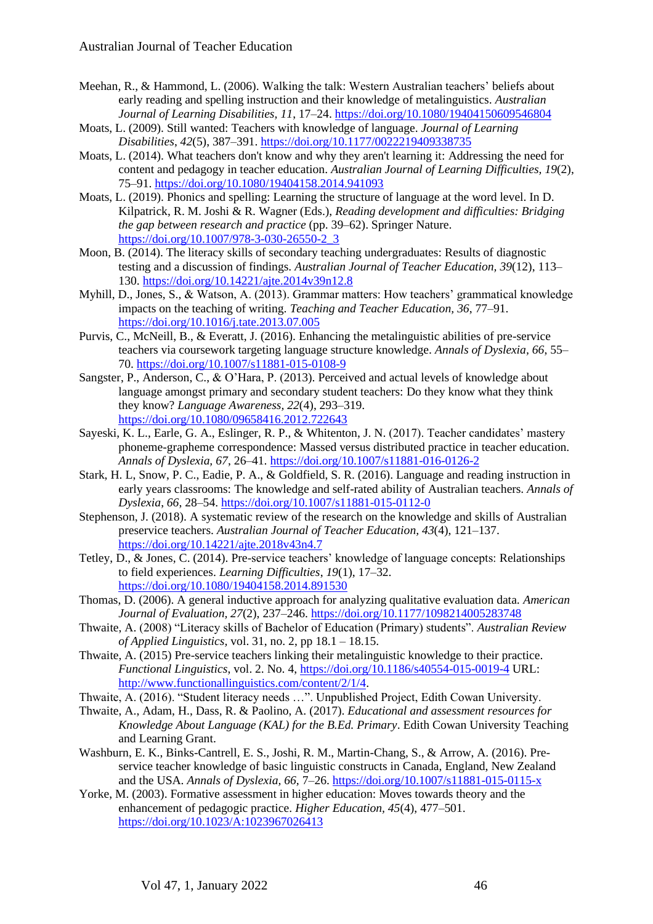- Meehan, R., & Hammond, L. (2006). Walking the talk: Western Australian teachers' beliefs about early reading and spelling instruction and their knowledge of metalinguistics. *Australian Journal of Learning Disabilities, 11*, 17–24. <https://doi.org/10.1080/19404150609546804>
- Moats, L. (2009). Still wanted: Teachers with knowledge of language. *Journal of Learning Disabilities*, *42*(5), 387–391.<https://doi.org/10.1177/0022219409338735>
- Moats, L. (2014). What teachers don't know and why they aren't learning it: Addressing the need for content and pedagogy in teacher education. *Australian Journal of Learning Difficulties, 19*(2), 75–91.<https://doi.org/10.1080/19404158.2014.941093>
- Moats, L. (2019). Phonics and spelling: Learning the structure of language at the word level. In D. Kilpatrick, R. M. Joshi & R. Wagner (Eds.), *Reading development and difficulties: Bridging the gap between research and practice* (pp. 39–62). Springer Nature. [https://doi.org/10.1007/978-3-030-26550-2\\_3](https://doi.org/10.1007/978-3-030-26550-2_3)
- Moon, B. (2014). The literacy skills of secondary teaching undergraduates: Results of diagnostic testing and a discussion of findings. *Australian Journal of Teacher Education, 39*(12), 113– 130. <https://doi.org/10.14221/ajte.2014v39n12.8>
- Myhill, D., Jones, S., & Watson, A. (2013). Grammar matters: How teachers' grammatical knowledge impacts on the teaching of writing. *Teaching and Teacher Education, 36*, 77–91. <https://doi.org/10.1016/j.tate.2013.07.005>
- Purvis, C., McNeill, B., & Everatt, J. (2016). Enhancing the metalinguistic abilities of pre-service teachers via coursework targeting language structure knowledge. *Annals of Dyslexia, 66*, 55– 70. <https://doi.org/10.1007/s11881-015-0108-9>
- Sangster, P., Anderson, C., & O'Hara, P. (2013). Perceived and actual levels of knowledge about language amongst primary and secondary student teachers: Do they know what they think they know? *Language Awareness, 22*(4), 293–319. <https://doi.org/10.1080/09658416.2012.722643>
- Sayeski, K. L., Earle, G. A., Eslinger, R. P., & Whitenton, J. N. (2017). Teacher candidates' mastery phoneme-grapheme correspondence: Massed versus distributed practice in teacher education. *Annals of Dyslexia, 67*, 26–41. <https://doi.org/10.1007/s11881-016-0126-2>
- Stark, H. L, Snow, P. C., Eadie, P. A., & Goldfield, S. R. (2016). Language and reading instruction in early years classrooms: The knowledge and self-rated ability of Australian teachers. *Annals of Dyslexia*, *66*, 28–54.<https://doi.org/10.1007/s11881-015-0112-0>
- Stephenson, J. (2018). A systematic review of the research on the knowledge and skills of Australian preservice teachers. *Australian Journal of Teacher Education, 43*(4), 121–137. <https://doi.org/10.14221/ajte.2018v43n4.7>
- Tetley, D., & Jones, C. (2014). Pre-service teachers' knowledge of language concepts: Relationships to field experiences. *Learning Difficulties*, *19*(1), 17–32. <https://doi.org/10.1080/19404158.2014.891530>
- Thomas, D. (2006). A general inductive approach for analyzing qualitative evaluation data. *American Journal of Evaluation, 27*(2), 237–246. <https://doi.org/10.1177/1098214005283748>
- Thwaite, A. (2008) "Literacy skills of Bachelor of Education (Primary) students". *Australian Review of Applied Linguistics,* vol. 31, no. 2, pp 18.1 – 18.15.
- Thwaite, A. (2015) Pre-service teachers linking their metalinguistic knowledge to their practice. *Functional Linguistics*, vol. 2. No. 4,<https://doi.org/10.1186/s40554-015-0019-4> URL: [http://www.functionallinguistics.com/content/2/1/4.](http://www.functionallinguistics.com/content/2/1/4)
- Thwaite, A. (2016). "Student literacy needs …". Unpublished Project, Edith Cowan University.
- Thwaite, A., Adam, H., Dass, R. & Paolino, A. (2017). *Educational and assessment resources for Knowledge About Language (KAL) for the B.Ed. Primary*. Edith Cowan University Teaching and Learning Grant.
- Washburn, E. K., Binks-Cantrell, E. S., Joshi, R. M., Martin-Chang, S., & Arrow, A. (2016). Preservice teacher knowledge of basic linguistic constructs in Canada, England, New Zealand and the USA. *Annals of Dyslexia, 66,* 7–26. <https://doi.org/10.1007/s11881-015-0115-x>
- Yorke, M. (2003). Formative assessment in higher education: Moves towards theory and the enhancement of pedagogic practice. *Higher Education, 45*(4), 477–501. <https://doi.org/10.1023/A:1023967026413>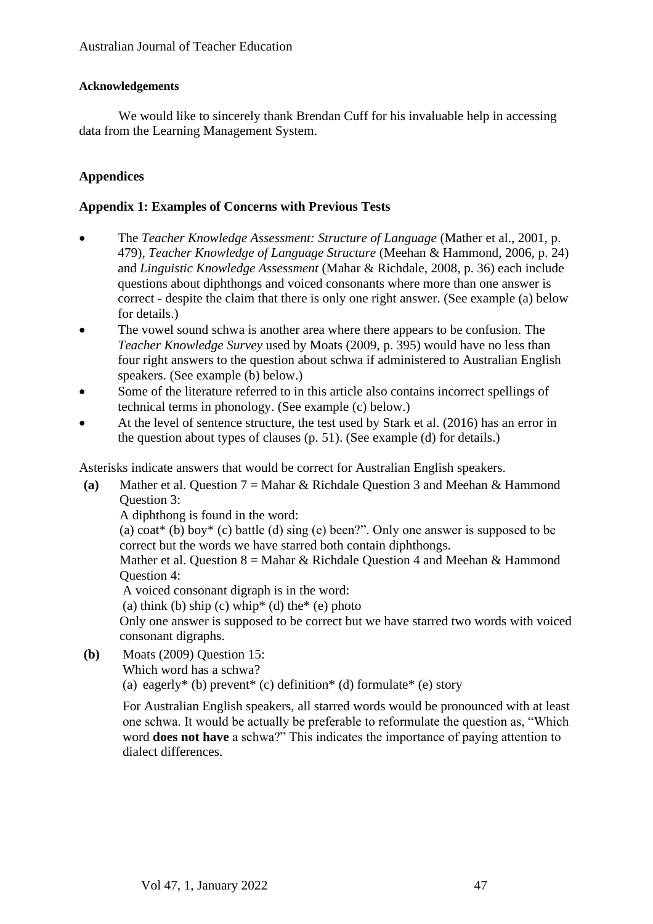## **Acknowledgements**

We would like to sincerely thank Brendan Cuff for his invaluable help in accessing data from the Learning Management System.

# **Appendices**

# **Appendix 1: Examples of Concerns with Previous Tests**

- The *Teacher Knowledge Assessment: Structure of Language* (Mather et al., 2001, p. 479), *Teacher Knowledge of Language Structure* (Meehan & Hammond, 2006, p. 24) and *Linguistic Knowledge Assessment* (Mahar & Richdale, 2008, p. 36) each include questions about diphthongs and voiced consonants where more than one answer is correct - despite the claim that there is only one right answer. (See example (a) below for details.)
- The vowel sound schwa is another area where there appears to be confusion. The *Teacher Knowledge Survey* used by Moats (2009, p. 395) would have no less than four right answers to the question about schwa if administered to Australian English speakers. (See example (b) below.)
- Some of the literature referred to in this article also contains incorrect spellings of technical terms in phonology. (See example (c) below.)
- At the level of sentence structure, the test used by Stark et al. (2016) has an error in the question about types of clauses (p. 51). (See example (d) for details.)

Asterisks indicate answers that would be correct for Australian English speakers.

**(a)** Mather et al. Question 7 = Mahar & Richdale Question 3 and Meehan & Hammond Question 3:

A diphthong is found in the word:

(a)  $\text{cot}^*$  (b) boy<sup>\*</sup> (c) battle (d) sing (e) been?". Only one answer is supposed to be correct but the words we have starred both contain diphthongs.

Mather et al. Question  $8 =$  Mahar & Richdale Question 4 and Meehan & Hammond Question 4:

A voiced consonant digraph is in the word:

(a) think (b) ship (c) whip<sup>\*</sup> (d) the<sup>\*</sup> (e) photo

Only one answer is supposed to be correct but we have starred two words with voiced consonant digraphs.

**(b)** Moats (2009) Question 15:

Which word has a schwa?

(a) eagerly<sup>\*</sup> (b) prevent<sup>\*</sup> (c) definition<sup>\*</sup> (d) formulate<sup>\*</sup> (e) story

For Australian English speakers, all starred words would be pronounced with at least one schwa. It would be actually be preferable to reformulate the question as, "Which word **does not have** a schwa?" This indicates the importance of paying attention to dialect differences.